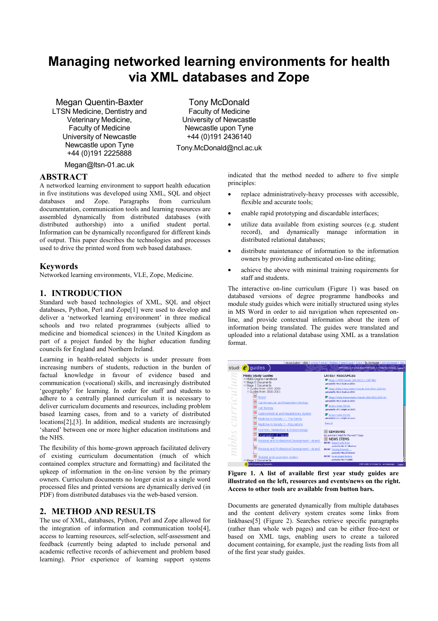# **Managing networked learning environments for health via XML databases and Zope**

Tony McDonald Faculty of Medicine University of Newcastle Newcastle upon Tyne +44 (0)191 2436140 Tony.McDonald@ncl.ac.uk

Megan Quentin-Baxter LTSN Medicine, Dentistry and Veterinary Medicine, Faculty of Medicine University of Newcastle Newcastle upon Tyne +44 (0)191 2225888

Megan@ltsn-01.ac.uk

#### **ABSTRACT**

A networked learning environment to support health education in five institutions was developed using XML, SQL and object databases and Zope. Paragraphs from curriculum documentation, communication tools and learning resources are assembled dynamically from distributed databases (with distributed authorship) into a unified student portal. Information can be dynamically reconfigured for different kinds of output. This paper describes the technologies and processes used to drive the printed word from web based databases.

### **Keywords**

Networked learning environments, VLE, Zope, Medicine.

### **1. INTRODUCTION**

Standard web based technologies of XML, SQL and object databases, Python, Perl and Zope[1] were used to develop and deliver a 'networked learning environment' in three medical schools and two related programmes (subjects allied to medicine and biomedical sciences) in the United Kingdom as part of a project funded by the higher education funding councils for England and Northern Ireland.

Learning in health-related subjects is under pressure from increasing numbers of students, reduction in the burden of factual knowledge in favour of evidence based and communication (vocational) skills, and increasingly distributed 'geography' for learning. In order for staff and students to adhere to a centrally planned curriculum it is necessary to deliver curriculum documents and resources, including problem based learning cases, from and to a variety of distributed locations[2],[3]. In addition, medical students are increasingly 'shared' between one or more higher education institutions and the NHS.

The flexibility of this home-grown approach facilitated delivery of existing curriculum documentation (much of which contained complex structure and formatting) and facilitated the upkeep of information in the on-line version by the primary owners. Curriculum documents no longer exist as a single word processed files and printed versions are dynamically derived (in PDF) from distributed databases via the web-based version.

### **2. METHOD AND RESULTS**

The use of XML, databases, Python, Perl and Zope allowed for the integration of information and communication tools[4], access to learning resources, self-selection, self-assessment and feedback (currently being adapted to include personal and academic reflective records of achievement and problem based learning). Prior experience of learning support systems indicated that the method needed to adhere to five simple principles:

- replace administratively-heavy processes with accessible, flexible and accurate tools;
- enable rapid prototyping and discardable interfaces;
- utilize data available from existing sources (e.g. student record), and dynamically manage information in distributed relational databases;
- distribute maintenance of information to the information owners by providing authenticated on-line editing;
- achieve the above with minimal training requirements for staff and students.

The interactive on-line curriculum (Figure 1) was based on databased versions of degree programme handbooks and module study guides which were initially structured using styles in MS Word in order to aid navigation when represented online, and provide contextual information about the item of information being translated. The guides were translated and uploaded into a relational database using XML as a translation format.



**Figure 1. A list of available first year study guides are illustrated on the left, resources and events/news on the right. Access to other tools are available from button bars.** 

Documents are generated dynamically from multiple databases and the content delivery system creates some links from linkbases[5] (Figure 2). Searches retrieve specific paragraphs (rather than whole web pages) and can be either free-text or based on XML tags, enabling users to create a tailored document containing, for example, just the reading lists from all of the first year study guides.